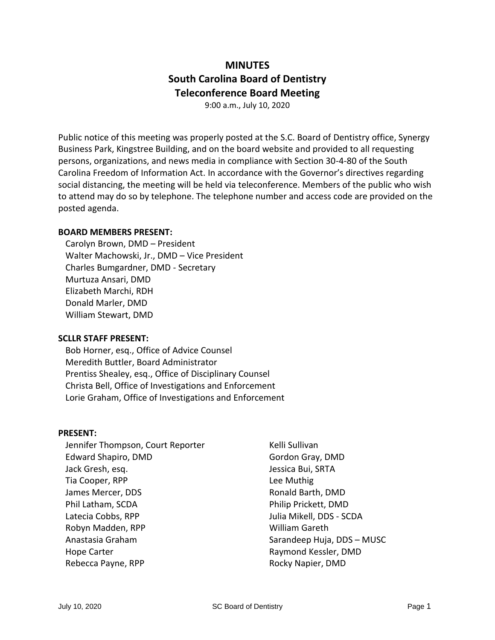# **MINUTES South Carolina Board of Dentistry Teleconference Board Meeting**

9:00 a.m., July 10, 2020

Public notice of this meeting was properly posted at the S.C. Board of Dentistry office, Synergy Business Park, Kingstree Building, and on the board website and provided to all requesting persons, organizations, and news media in compliance with Section 30-4-80 of the South Carolina Freedom of Information Act. In accordance with the Governor's directives regarding social distancing, the meeting will be held via teleconference. Members of the public who wish to attend may do so by telephone. The telephone number and access code are provided on the posted agenda.

#### **BOARD MEMBERS PRESENT:**

Carolyn Brown, DMD – President Walter Machowski, Jr., DMD – Vice President Charles Bumgardner, DMD - Secretary Murtuza Ansari, DMD Elizabeth Marchi, RDH Donald Marler, DMD William Stewart, DMD

#### **SCLLR STAFF PRESENT:**

Bob Horner, esq., Office of Advice Counsel Meredith Buttler, Board Administrator Prentiss Shealey, esq., Office of Disciplinary Counsel Christa Bell, Office of Investigations and Enforcement Lorie Graham, Office of Investigations and Enforcement

#### **PRESENT:**

| Jennifer Thompson, Court Reporter | Kelli Sullivan             |
|-----------------------------------|----------------------------|
| Edward Shapiro, DMD               | Gordon Gray, DMD           |
| Jack Gresh, esq.                  | Jessica Bui, SRTA          |
| Tia Cooper, RPP                   | Lee Muthig                 |
| James Mercer, DDS                 | Ronald Barth, DMD          |
| Phil Latham, SCDA                 | Philip Prickett, DMD       |
| Latecia Cobbs, RPP                | Julia Mikell, DDS - SCDA   |
| Robyn Madden, RPP                 | <b>William Gareth</b>      |
| Anastasia Graham                  | Sarandeep Huja, DDS - MUSC |
| <b>Hope Carter</b>                | Raymond Kessler, DMD       |
| Rebecca Payne, RPP                | Rocky Napier, DMD          |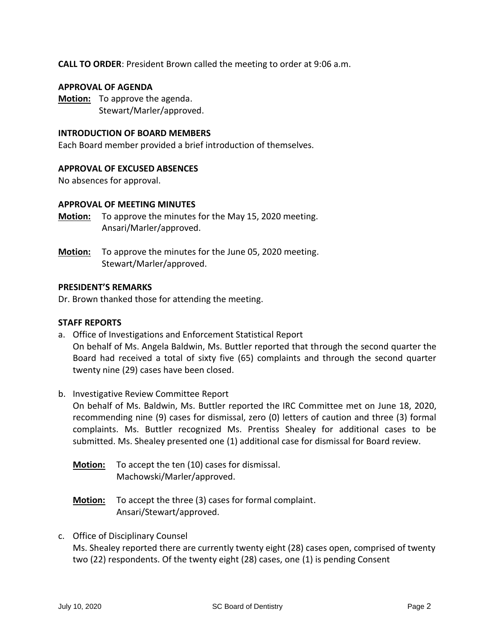**CALL TO ORDER**: President Brown called the meeting to order at 9:06 a.m.

#### **APPROVAL OF AGENDA**

**Motion:** To approve the agenda. Stewart/Marler/approved.

#### **INTRODUCTION OF BOARD MEMBERS**

Each Board member provided a brief introduction of themselves.

#### **APPROVAL OF EXCUSED ABSENCES**

No absences for approval.

#### **APPROVAL OF MEETING MINUTES**

- **Motion:** To approve the minutes for the May 15, 2020 meeting. Ansari/Marler/approved.
- **Motion:** To approve the minutes for the June 05, 2020 meeting. Stewart/Marler/approved.

#### **PRESIDENT'S REMARKS**

Dr. Brown thanked those for attending the meeting.

#### **STAFF REPORTS**

- a. Office of Investigations and Enforcement Statistical Report On behalf of Ms. Angela Baldwin, Ms. Buttler reported that through the second quarter the Board had received a total of sixty five (65) complaints and through the second quarter twenty nine (29) cases have been closed.
- b. Investigative Review Committee Report

On behalf of Ms. Baldwin, Ms. Buttler reported the IRC Committee met on June 18, 2020, recommending nine (9) cases for dismissal, zero (0) letters of caution and three (3) formal complaints. Ms. Buttler recognized Ms. Prentiss Shealey for additional cases to be submitted. Ms. Shealey presented one (1) additional case for dismissal for Board review.

- **Motion:** To accept the ten (10) cases for dismissal. Machowski/Marler/approved.
- **Motion:** To accept the three (3) cases for formal complaint. Ansari/Stewart/approved.
- c. Office of Disciplinary Counsel Ms. Shealey reported there are currently twenty eight (28) cases open, comprised of twenty two (22) respondents. Of the twenty eight (28) cases, one (1) is pending Consent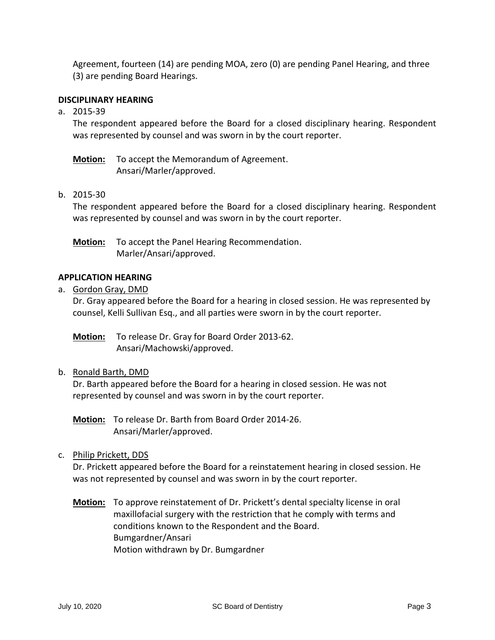Agreement, fourteen (14) are pending MOA, zero (0) are pending Panel Hearing, and three (3) are pending Board Hearings.

## **DISCIPLINARY HEARING**

a. 2015-39

The respondent appeared before the Board for a closed disciplinary hearing. Respondent was represented by counsel and was sworn in by the court reporter.

**Motion:** To accept the Memorandum of Agreement. Ansari/Marler/approved.

b. 2015-30

The respondent appeared before the Board for a closed disciplinary hearing. Respondent was represented by counsel and was sworn in by the court reporter.

**Motion:** To accept the Panel Hearing Recommendation. Marler/Ansari/approved.

## **APPLICATION HEARING**

a. Gordon Gray, DMD

Dr. Gray appeared before the Board for a hearing in closed session. He was represented by counsel, Kelli Sullivan Esq., and all parties were sworn in by the court reporter.

**Motion:** To release Dr. Gray for Board Order 2013-62. Ansari/Machowski/approved.

b. Ronald Barth, DMD

Dr. Barth appeared before the Board for a hearing in closed session. He was not represented by counsel and was sworn in by the court reporter.

**Motion:** To release Dr. Barth from Board Order 2014-26. Ansari/Marler/approved.

c. Philip Prickett, DDS

Dr. Prickett appeared before the Board for a reinstatement hearing in closed session. He was not represented by counsel and was sworn in by the court reporter.

**Motion:** To approve reinstatement of Dr. Prickett's dental specialty license in oral maxillofacial surgery with the restriction that he comply with terms and conditions known to the Respondent and the Board. Bumgardner/Ansari Motion withdrawn by Dr. Bumgardner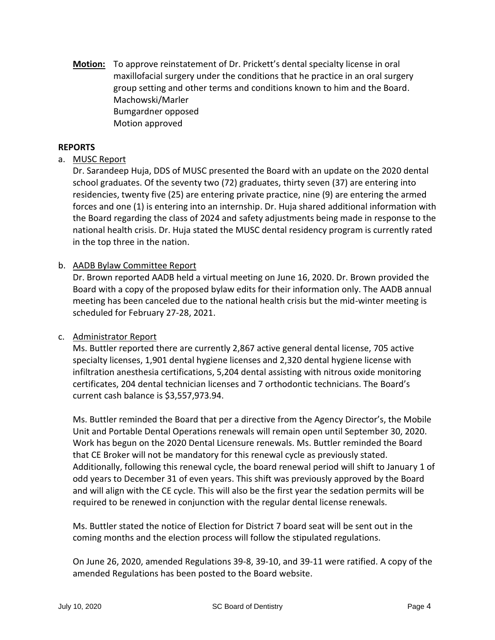**Motion:** To approve reinstatement of Dr. Prickett's dental specialty license in oral maxillofacial surgery under the conditions that he practice in an oral surgery group setting and other terms and conditions known to him and the Board. Machowski/Marler Bumgardner opposed Motion approved

## **REPORTS**

## a. MUSC Report

Dr. Sarandeep Huja, DDS of MUSC presented the Board with an update on the 2020 dental school graduates. Of the seventy two (72) graduates, thirty seven (37) are entering into residencies, twenty five (25) are entering private practice, nine (9) are entering the armed forces and one (1) is entering into an internship. Dr. Huja shared additional information with the Board regarding the class of 2024 and safety adjustments being made in response to the national health crisis. Dr. Huja stated the MUSC dental residency program is currently rated in the top three in the nation.

## b. AADB Bylaw Committee Report

Dr. Brown reported AADB held a virtual meeting on June 16, 2020. Dr. Brown provided the Board with a copy of the proposed bylaw edits for their information only. The AADB annual meeting has been canceled due to the national health crisis but the mid-winter meeting is scheduled for February 27-28, 2021.

#### c. Administrator Report

Ms. Buttler reported there are currently 2,867 active general dental license, 705 active specialty licenses, 1,901 dental hygiene licenses and 2,320 dental hygiene license with infiltration anesthesia certifications, 5,204 dental assisting with nitrous oxide monitoring certificates, 204 dental technician licenses and 7 orthodontic technicians. The Board's current cash balance is \$3,557,973.94.

Ms. Buttler reminded the Board that per a directive from the Agency Director's, the Mobile Unit and Portable Dental Operations renewals will remain open until September 30, 2020. Work has begun on the 2020 Dental Licensure renewals. Ms. Buttler reminded the Board that CE Broker will not be mandatory for this renewal cycle as previously stated. Additionally, following this renewal cycle, the board renewal period will shift to January 1 of odd years to December 31 of even years. This shift was previously approved by the Board and will align with the CE cycle. This will also be the first year the sedation permits will be required to be renewed in conjunction with the regular dental license renewals.

Ms. Buttler stated the notice of Election for District 7 board seat will be sent out in the coming months and the election process will follow the stipulated regulations.

On June 26, 2020, amended Regulations 39-8, 39-10, and 39-11 were ratified. A copy of the amended Regulations has been posted to the Board website.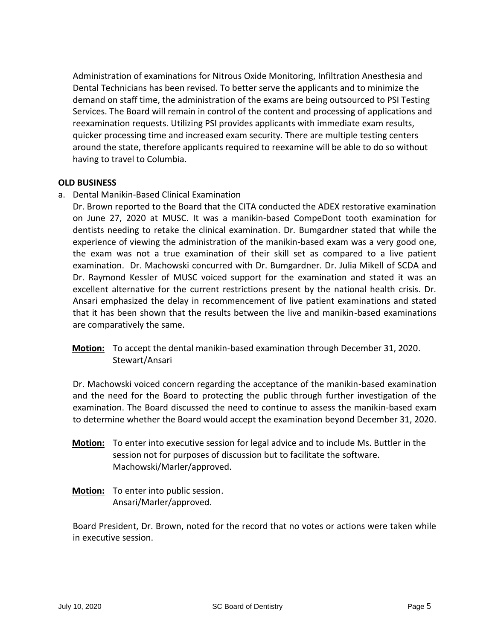Administration of examinations for Nitrous Oxide Monitoring, Infiltration Anesthesia and Dental Technicians has been revised. To better serve the applicants and to minimize the demand on staff time, the administration of the exams are being outsourced to PSI Testing Services. The Board will remain in control of the content and processing of applications and reexamination requests. Utilizing PSI provides applicants with immediate exam results, quicker processing time and increased exam security. There are multiple testing centers around the state, therefore applicants required to reexamine will be able to do so without having to travel to Columbia.

## **OLD BUSINESS**

# a. Dental Manikin-Based Clinical Examination

Dr. Brown reported to the Board that the CITA conducted the ADEX restorative examination on June 27, 2020 at MUSC. It was a manikin-based CompeDont tooth examination for dentists needing to retake the clinical examination. Dr. Bumgardner stated that while the experience of viewing the administration of the manikin-based exam was a very good one, the exam was not a true examination of their skill set as compared to a live patient examination. Dr. Machowski concurred with Dr. Bumgardner. Dr. Julia Mikell of SCDA and Dr. Raymond Kessler of MUSC voiced support for the examination and stated it was an excellent alternative for the current restrictions present by the national health crisis. Dr. Ansari emphasized the delay in recommencement of live patient examinations and stated that it has been shown that the results between the live and manikin-based examinations are comparatively the same.

# **Motion:** To accept the dental manikin-based examination through December 31, 2020. Stewart/Ansari

Dr. Machowski voiced concern regarding the acceptance of the manikin-based examination and the need for the Board to protecting the public through further investigation of the examination. The Board discussed the need to continue to assess the manikin-based exam to determine whether the Board would accept the examination beyond December 31, 2020.

- **Motion:** To enter into executive session for legal advice and to include Ms. Buttler in the session not for purposes of discussion but to facilitate the software. Machowski/Marler/approved.
- **Motion:** To enter into public session. Ansari/Marler/approved.

Board President, Dr. Brown, noted for the record that no votes or actions were taken while in executive session.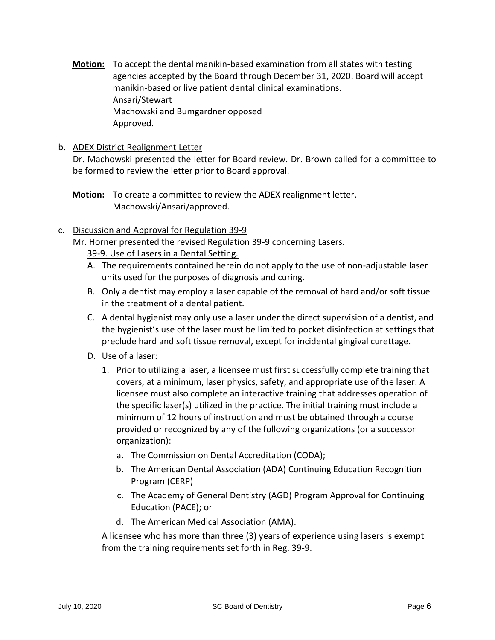- **Motion:** To accept the dental manikin-based examination from all states with testing agencies accepted by the Board through December 31, 2020. Board will accept manikin-based or live patient dental clinical examinations. Ansari/Stewart Machowski and Bumgardner opposed Approved.
- b. ADEX District Realignment Letter

Dr. Machowski presented the letter for Board review. Dr. Brown called for a committee to be formed to review the letter prior to Board approval.

**Motion:** To create a committee to review the ADEX realignment letter. Machowski/Ansari/approved.

# c. Discussion and Approval for Regulation 39-9

Mr. Horner presented the revised Regulation 39-9 concerning Lasers.

# 39-9. Use of Lasers in a Dental Setting.

- A. The requirements contained herein do not apply to the use of non-adjustable laser units used for the purposes of diagnosis and curing.
- B. Only a dentist may employ a laser capable of the removal of hard and/or soft tissue in the treatment of a dental patient.
- C. A dental hygienist may only use a laser under the direct supervision of a dentist, and the hygienist's use of the laser must be limited to pocket disinfection at settings that preclude hard and soft tissue removal, except for incidental gingival curettage.
- D. Use of a laser:
	- 1. Prior to utilizing a laser, a licensee must first successfully complete training that covers, at a minimum, laser physics, safety, and appropriate use of the laser. A licensee must also complete an interactive training that addresses operation of the specific laser(s) utilized in the practice. The initial training must include a minimum of 12 hours of instruction and must be obtained through a course provided or recognized by any of the following organizations (or a successor organization):
		- a. The Commission on Dental Accreditation (CODA);
		- b. The American Dental Association (ADA) Continuing Education Recognition Program (CERP)
		- c. The Academy of General Dentistry (AGD) Program Approval for Continuing Education (PACE); or
		- d. The American Medical Association (AMA).

A licensee who has more than three (3) years of experience using lasers is exempt from the training requirements set forth in Reg. 39-9.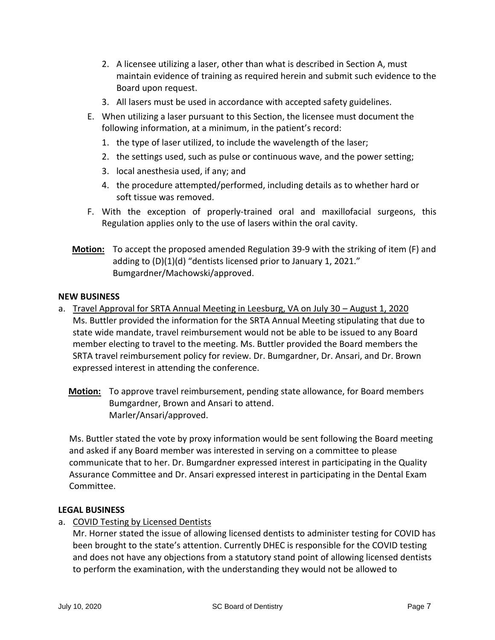- 2. A licensee utilizing a laser, other than what is described in Section A, must maintain evidence of training as required herein and submit such evidence to the Board upon request.
- 3. All lasers must be used in accordance with accepted safety guidelines.
- E. When utilizing a laser pursuant to this Section, the licensee must document the following information, at a minimum, in the patient's record:
	- 1. the type of laser utilized, to include the wavelength of the laser;
	- 2. the settings used, such as pulse or continuous wave, and the power setting;
	- 3. local anesthesia used, if any; and
	- 4. the procedure attempted/performed, including details as to whether hard or soft tissue was removed.
- F. With the exception of properly-trained oral and maxillofacial surgeons, this Regulation applies only to the use of lasers within the oral cavity.
- **Motion:** To accept the proposed amended Regulation 39-9 with the striking of item (F) and adding to (D)(1)(d) "dentists licensed prior to January 1, 2021." Bumgardner/Machowski/approved.

## **NEW BUSINESS**

- a. Travel Approval for SRTA Annual Meeting in Leesburg, VA on July 30 August 1, 2020 Ms. Buttler provided the information for the SRTA Annual Meeting stipulating that due to state wide mandate, travel reimbursement would not be able to be issued to any Board member electing to travel to the meeting. Ms. Buttler provided the Board members the SRTA travel reimbursement policy for review. Dr. Bumgardner, Dr. Ansari, and Dr. Brown expressed interest in attending the conference.
	- **Motion:** To approve travel reimbursement, pending state allowance, for Board members Bumgardner, Brown and Ansari to attend. Marler/Ansari/approved.

Ms. Buttler stated the vote by proxy information would be sent following the Board meeting and asked if any Board member was interested in serving on a committee to please communicate that to her. Dr. Bumgardner expressed interest in participating in the Quality Assurance Committee and Dr. Ansari expressed interest in participating in the Dental Exam Committee.

#### **LEGAL BUSINESS**

a. COVID Testing by Licensed Dentists

Mr. Horner stated the issue of allowing licensed dentists to administer testing for COVID has been brought to the state's attention. Currently DHEC is responsible for the COVID testing and does not have any objections from a statutory stand point of allowing licensed dentists to perform the examination, with the understanding they would not be allowed to